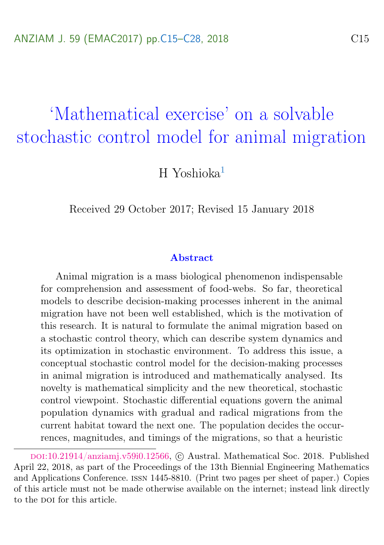# <span id="page-0-0"></span>'Mathematical exercise' on a solvable stochastic control model for animal migration

 $H$  Yoshioka $<sup>1</sup>$  $<sup>1</sup>$  $<sup>1</sup>$ </sup>

Received 29 October 2017; Revised 15 January 2018

#### Abstract

Animal migration is a mass biological phenomenon indispensable for comprehension and assessment of food-webs. So far, theoretical models to describe decision-making processes inherent in the animal migration have not been well established, which is the motivation of this research. It is natural to formulate the animal migration based on a stochastic control theory, which can describe system dynamics and its optimization in stochastic environment. To address this issue, a conceptual stochastic control model for the decision-making processes in animal migration is introduced and mathematically analysed. Its novelty is mathematical simplicity and the new theoretical, stochastic control viewpoint. Stochastic differential equations govern the animal population dynamics with gradual and radical migrations from the current habitat toward the next one. The population decides the occurrences, magnitudes, and timings of the migrations, so that a heuristic

doi:[10.21914/anziamj.v59i0.12566,](https://doi.org/10.21914/anziamj.v59i0.12566) c Austral. Mathematical Soc. 2018. Published April 22, 2018, as part of the Proceedings of the 13th Biennial Engineering Mathematics and Applications Conference. issn 1445-8810. (Print two pages per sheet of paper.) Copies of this article must not be made otherwise available on the internet; instead link directly to the DOI for this article.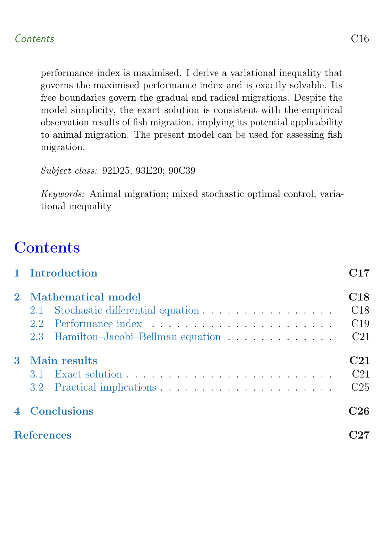performance index is maximised. I derive a variational inequality that governs the maximised performance index and is exactly solvable. Its free boundaries govern the gradual and radical migrations. Despite the model simplicity, the exact solution is consistent with the empirical observation results of fish migration, implying its potential applicability to animal migration. The present model can be used for assessing fish migration.

Subject class: 92D25; 93E20; 90C39

Keywords: Animal migration; mixed stochastic optimal control; variational inequality

# **Contents**

<span id="page-1-0"></span>

|   | 1 Introduction                       | C17             |
|---|--------------------------------------|-----------------|
|   | 2 Mathematical model                 | C18             |
|   |                                      | C18             |
|   | 2.2                                  | C19             |
|   | 2.3 Hamilton-Jacobi-Bellman equation | C <sub>21</sub> |
| 3 | Main results                         | C <sub>21</sub> |
|   |                                      | C <sub>21</sub> |
|   |                                      | C <sub>25</sub> |
|   | <b>Conclusions</b>                   | C26             |
|   | <b>References</b>                    |                 |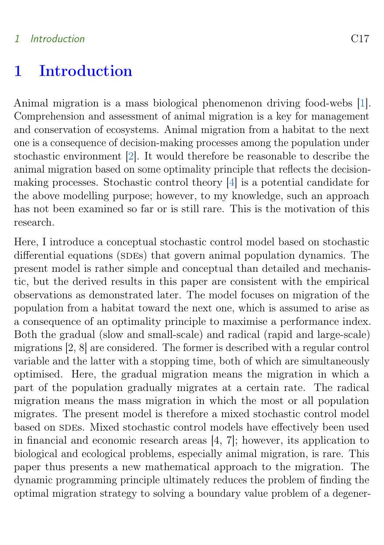#### <span id="page-2-0"></span>1 Introduction C17

## 1 Introduction

Animal migration is a mass biological phenomenon driving food-webs [\[1\]](#page-12-1). Comprehension and assessment of animal migration is a key for management and conservation of ecosystems. Animal migration from a habitat to the next one is a consequence of decision-making processes among the population under stochastic environment [\[2\]](#page-12-2). It would therefore be reasonable to describe the animal migration based on some optimality principle that reflects the decisionmaking processes. Stochastic control theory [\[4\]](#page-13-1) is a potential candidate for the above modelling purpose; however, to my knowledge, such an approach has not been examined so far or is still rare. This is the motivation of this research.

Here, I introduce a conceptual stochastic control model based on stochastic differential equations (SDEs) that govern animal population dynamics. The present model is rather simple and conceptual than detailed and mechanistic, but the derived results in this paper are consistent with the empirical observations as demonstrated later. The model focuses on migration of the population from a habitat toward the next one, which is assumed to arise as a consequence of an optimality principle to maximise a performance index. Both the gradual (slow and small-scale) and radical (rapid and large-scale) migrations [2, 8] are considered. The former is described with a regular control variable and the latter with a stopping time, both of which are simultaneously optimised. Here, the gradual migration means the migration in which a part of the population gradually migrates at a certain rate. The radical migration means the mass migration in which the most or all population migrates. The present model is therefore a mixed stochastic control model based on SDEs. Mixed stochastic control models have effectively been used in financial and economic research areas [4, 7]; however, its application to biological and ecological problems, especially animal migration, is rare. This paper thus presents a new mathematical approach to the migration. The dynamic programming principle ultimately reduces the problem of finding the optimal migration strategy to solving a boundary value problem of a degener-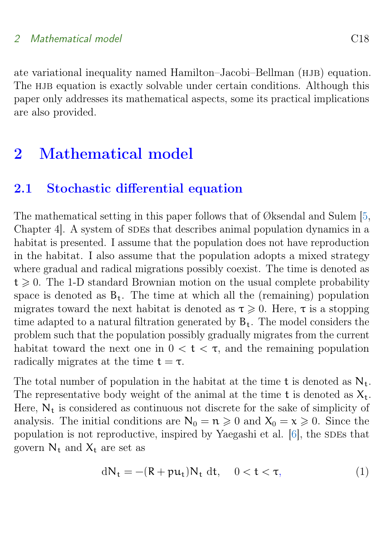### <span id="page-3-3"></span>2 Mathematical model C18

ate variational inequality named Hamilton–Jacobi–Bellman (HJB) equation. The HJB equation is exactly solvable under certain conditions. Although this paper only addresses its mathematical aspects, some its practical implications are also provided.

## <span id="page-3-0"></span>2 Mathematical model

## <span id="page-3-1"></span>2.1 Stochastic differential equation

The mathematical setting in this paper follows that of Øksendal and Sulem [\[5,](#page-13-2) Chapter 4. A system of SDEs that describes animal population dynamics in a habitat is presented. I assume that the population does not have reproduction in the habitat. I also assume that the population adopts a mixed strategy where gradual and radical migrations possibly coexist. The time is denoted as  $t \geq 0$ . The 1-D standard Brownian motion on the usual complete probability space is denoted as  $B_t$ . The time at which all the (remaining) population migrates toward the next habitat is denoted as  $\tau \geq 0$ . Here,  $\tau$  is a stopping time adapted to a natural filtration generated by  $B_t$ . The model considers the problem such that the population possibly gradually migrates from the current habitat toward the next one in  $0 < t < \tau$ , and the remaining population radically migrates at the time  $t = \tau$ .

The total number of population in the habitat at the time t is denoted as  $N_t$ . The representative body weight of the animal at the time t is denoted as  $X_t$ . Here,  $N_t$  is considered as continuous not discrete for the sake of simplicity of analysis. The initial conditions are  $N_0 = n \geq 0$  and  $X_0 = x \geq 0$ . Since the population is not reproductive, inspired by Yaegashi et al.  $[6]$ , the SDEs that govern  $N_t$  and  $X_t$  are set as

<span id="page-3-2"></span>
$$
dN_t = -(R + p u_t)N_t dt, \quad 0 < t < \tau,
$$
\n
$$
(1)
$$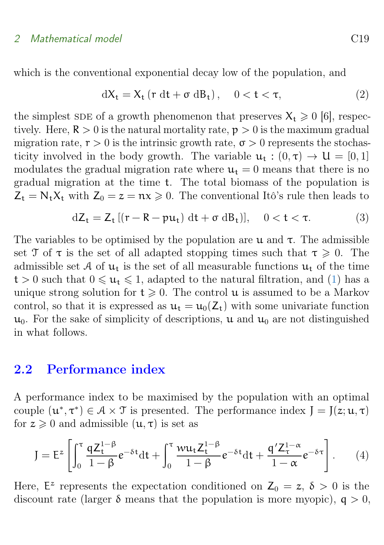#### 2 Mathematical model C19

which is the conventional exponential decay low of the population, and

<span id="page-4-2"></span>
$$
dX_t = X_t \left( r \, dt + \sigma \, dB_t \right), \quad 0 < t < \tau,\tag{2}
$$

the simplest SDE of a growth phenomenon that preserves  $X_t \geq 0$  [6], respectively. Here,  $\mathbb{R} > 0$  is the natural mortality rate,  $p > 0$  is the maximum gradual migration rate,  $r > 0$  is the intrinsic growth rate,  $\sigma > 0$  represents the stochasticity involved in the body growth. The variable  $u_t : (0, \tau) \to U = [0, 1]$ modulates the gradual migration rate where  $u_t = 0$  means that there is no gradual migration at the time t. The total biomass of the population is  $Z_t = N_t X_t$  with  $Z_0 = z = \mathfrak{n} x \geq 0$ . The conventional Itô's rule then leads to

$$
dZ_t = Z_t [(r - R - pu_t) dt + \sigma dB_t)], \quad 0 < t < \tau.
$$
 (3)

The variables to be optimised by the population are  $\mu$  and  $\tau$ . The admissible set T of  $\tau$  is the set of all adapted stopping times such that  $\tau \geq 0$ . The admissible set A of  $u_t$  is the set of all measurable functions  $u_t$  of the time  $t > 0$  such that  $0 \le u_t \le 1$ , adapted to the natural filtration, and [\(1\)](#page-3-2) has a unique strong solution for  $t \geq 0$ . The control **u** is assumed to be a Markov control, so that it is expressed as  $u_t = u_0(Z_t)$  with some univariate function  $u_0$ . For the sake of simplicity of descriptions, u and  $u_0$  are not distinguished in what follows.

### <span id="page-4-0"></span>2.2 Performance index

A performance index to be maximised by the population with an optimal couple  $(u^*, \tau^*) \in \mathcal{A} \times \mathcal{T}$  is presented. The performance index  $J = J(z; u, \tau)$ for  $z \geq 0$  and admissible  $(u, \tau)$  is set as

<span id="page-4-1"></span>
$$
J = Ez \left[ \int_0^{\tau} \frac{q Z_t^{1-\beta}}{1-\beta} e^{-\delta t} dt + \int_0^{\tau} \frac{w u_t Z_t^{1-\beta}}{1-\beta} e^{-\delta t} dt + \frac{q' Z_\tau^{1-\alpha}}{1-\alpha} e^{-\delta \tau} \right].
$$
 (4)

Here,  $E^z$  represents the expectation conditioned on  $Z_0 = z$ ,  $\delta > 0$  is the discount rate (larger  $\delta$  means that the population is more myopic),  $q > 0$ ,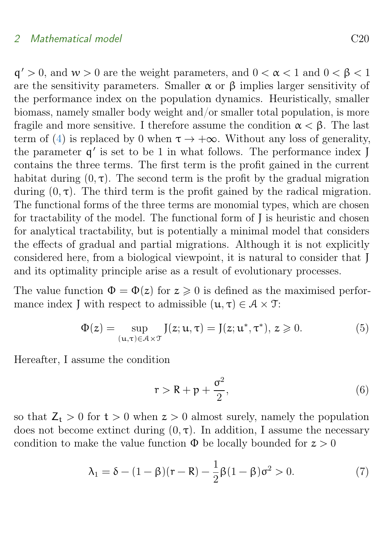$q' > 0$ , and  $w > 0$  are the weight parameters, and  $0 < \alpha < 1$  and  $0 < \beta < 1$ are the sensitivity parameters. Smaller  $\alpha$  or  $\beta$  implies larger sensitivity of the performance index on the population dynamics. Heuristically, smaller biomass, namely smaller body weight and/or smaller total population, is more fragile and more sensitive. I therefore assume the condition  $\alpha < \beta$ . The last term of [\(4\)](#page-4-1) is replaced by 0 when  $\tau \to +\infty$ . Without any loss of generality, the parameter  $q'$  is set to be 1 in what follows. The performance index J contains the three terms. The first term is the profit gained in the current habitat during  $(0, \tau)$ . The second term is the profit by the gradual migration during  $(0, \tau)$ . The third term is the profit gained by the radical migration. The functional forms of the three terms are monomial types, which are chosen for tractability of the model. The functional form of J is heuristic and chosen for analytical tractability, but is potentially a minimal model that considers the effects of gradual and partial migrations. Although it is not explicitly considered here, from a biological viewpoint, it is natural to consider that J and its optimality principle arise as a result of evolutionary processes.

The value function  $\Phi = \Phi(z)$  for  $z \geq 0$  is defined as the maximised performance index J with respect to admissible  $(\mathfrak{u}, \tau) \in \mathcal{A} \times \mathcal{T}$ :

$$
\Phi(z) = \sup_{(\mathbf{u}, \tau) \in \mathcal{A} \times \mathcal{T}} J(z; \mathbf{u}, \tau) = J(z; \mathbf{u}^*, \tau^*), z \geqslant 0.
$$
 (5)

Hereafter, I assume the condition

$$
r > R + p + \frac{\sigma^2}{2},\tag{6}
$$

so that  $Z_t > 0$  for  $t > 0$  when  $z > 0$  almost surely, namely the population does not become extinct during  $(0, \tau)$ . In addition, I assume the necessary condition to make the value function  $\Phi$  be locally bounded for  $z > 0$ 

<span id="page-5-0"></span>
$$
\lambda_1 = \delta - (1 - \beta)(r - R) - \frac{1}{2}\beta(1 - \beta)\sigma^2 > 0.
$$
 (7)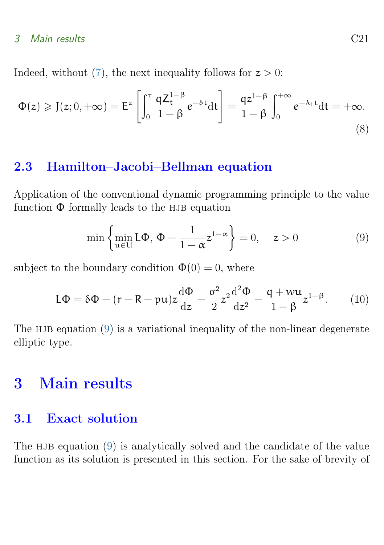Indeed, without [\(7\)](#page-5-0), the next inequality follows for  $z > 0$ :

$$
\Phi(z) \geqslant J(z; 0, +\infty) = \mathsf{E}^{z} \left[ \int_{0}^{\tau} \frac{\mathsf{q} Z_{t}^{1-\beta}}{1-\beta} e^{-\delta t} \mathrm{d} t \right] = \frac{\mathsf{q} z^{1-\beta}}{1-\beta} \int_{0}^{+\infty} e^{-\lambda_{1} t} \mathrm{d} t = +\infty.
$$
\n
$$
(8)
$$

## <span id="page-6-0"></span>2.3 Hamilton–Jacobi–Bellman equation

Application of the conventional dynamic programming principle to the value function  $\Phi$  formally leads to the HJB equation

<span id="page-6-3"></span>
$$
\min\left\{\min_{u\in U} L\Phi, \Phi - \frac{1}{1-\alpha} z^{1-\alpha}\right\} = 0, \quad z > 0 \tag{9}
$$

subject to the boundary condition  $\Phi(0) = 0$ , where

$$
L\Phi = \delta\Phi - (r - R - pu)z\frac{d\Phi}{dz} - \frac{\sigma^2}{2}z^2\frac{d^2\Phi}{dz^2} - \frac{q + wu}{1 - \beta}z^{1 - \beta}.
$$
 (10)

The HJB equation  $(9)$  is a variational inequality of the non-linear degenerate elliptic type.

## <span id="page-6-1"></span>3 Main results

## <span id="page-6-2"></span>3.1 Exact solution

The HJB equation  $(9)$  is analytically solved and the candidate of the value function as its solution is presented in this section. For the sake of brevity of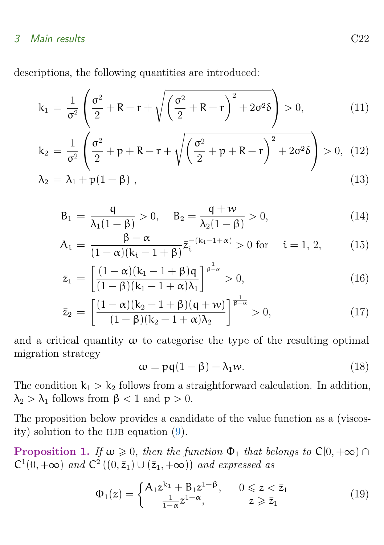descriptions, the following quantities are introduced:

$$
k_1 = \frac{1}{\sigma^2} \left( \frac{\sigma^2}{2} + R - r + \sqrt{\left(\frac{\sigma^2}{2} + R - r\right)^2 + 2\sigma^2 \delta} \right) > 0, \tag{11}
$$

$$
k_2 = \frac{1}{\sigma^2} \left( \frac{\sigma^2}{2} + p + R - r + \sqrt{\left( \frac{\sigma^2}{2} + p + R - r \right)^2 + 2\sigma^2 \delta} \right) > 0, (12)
$$

$$
\lambda_2 = \lambda_1 + p(1 - \beta) \tag{13}
$$

$$
B_1 = \frac{q}{\lambda_1(1-\beta)} > 0, \quad B_2 = \frac{q+w}{\lambda_2(1-\beta)} > 0,
$$
\n(14)

$$
A_{i} = \frac{\beta - \alpha}{(1 - \alpha)(k_{i} - 1 + \beta)} \bar{z}_{i}^{-(k_{i} - 1 + \alpha)} > 0 \text{ for } i = 1, 2,
$$
 (15)

$$
\bar{z}_1 = \left[ \frac{(1-\alpha)(k_1 - 1 + \beta)q}{(1-\beta)(k_1 - 1 + \alpha)\lambda_1} \right]^{\frac{1}{\beta-\alpha}} > 0,
$$
\n(16)

$$
\bar{z}_2 = \left[ \frac{(1-\alpha)(k_2 - 1 + \beta)(q+w)}{(1-\beta)(k_2 - 1 + \alpha)\lambda_2} \right]^{\frac{1}{\beta-\alpha}} > 0,
$$
\n(17)

and a critical quantity  $\omega$  to categorise the type of the resulting optimal migration strategy

<span id="page-7-0"></span>
$$
\omega = pq(1 - \beta) - \lambda_1 w. \tag{18}
$$

The condition  $k_1 > k_2$  follows from a straightforward calculation. In addition,  $\lambda_2 > \lambda_1$  follows from  $\beta < 1$  and  $p > 0$ .

The proposition below provides a candidate of the value function as a (viscosity) solution to the HJB equation  $(9)$ .

**Proposition 1.** If  $\omega \geq 0$ , then the function  $\Phi_1$  that belongs to  $C[0, +\infty)$  $C^1(0, +\infty)$  and  $C^2((0, \bar{z}_1) \cup (\bar{z}_1, +\infty))$  and expressed as

$$
\Phi_1(z) = \begin{cases} A_1 z^{k_1} + B_1 z^{1-\beta}, & 0 \leq z < \bar{z}_1 \\ \frac{1}{1-\alpha} z^{1-\alpha}, & z \geq \bar{z}_1 \end{cases}
$$
(19)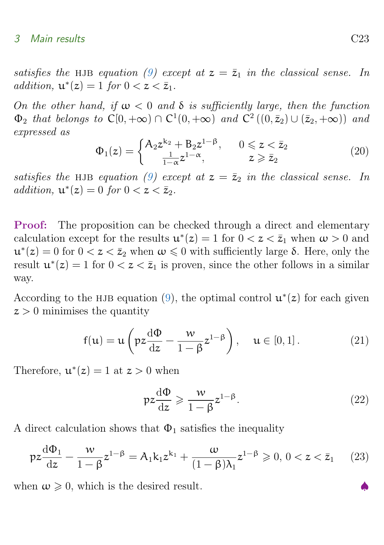satisfies the HJB equation [\(9\)](#page-6-3) except at  $z = \bar{z}_1$  in the classical sense. In addition,  $\mathbf{u}^*(z) = 1$  for  $0 < z < \bar{z}_1$ .

On the other hand, if  $\omega < 0$  and  $\delta$  is sufficiently large, then the function  $\Phi_2$  that belongs to  $C[0, +\infty) \cap C^1(0, +\infty)$  and  $C^2((0, \bar{z}_2) \cup (\bar{z}_2, +\infty))$  and expressed as

$$
\Phi_1(z) = \begin{cases} A_2 z^{k_2} + B_2 z^{1-\beta}, & 0 \leq z < \bar{z}_2 \\ \frac{1}{1-\alpha} z^{1-\alpha}, & z \geq \bar{z}_2 \end{cases}
$$
(20)

satisfies the HJB equation [\(9\)](#page-6-3) except at  $z = \bar{z}_2$  in the classical sense. In addition,  $\mathbf{u}^*(z) = 0$  for  $0 < z < \bar{z}_2$ .

Proof: The proposition can be checked through a direct and elementary calculation except for the results  $\mathbf{u}^*(z) = 1$  for  $0 < z < \bar{z}_1$  when  $\omega > 0$  and  $u^*(z) = 0$  for  $0 < z < \bar{z}_2$  when  $\omega \leq 0$  with sufficiently large  $\delta$ . Here, only the result  $u^*(z) = 1$  for  $0 < z < \bar{z}_1$  is proven, since the other follows in a similar way.

According to the HJB equation [\(9\)](#page-6-3), the optimal control  $\mathbf{u}^*(z)$  for each given  $z > 0$  minimises the quantity

$$
f(u) = u\left(pz\frac{d\Phi}{dz} - \frac{w}{1-\beta}z^{1-\beta}\right), \quad u \in [0,1].
$$
 (21)

Therefore,  $\mathbf{u}^*(z) = 1$  at  $z > 0$  when

$$
pz\frac{d\Phi}{dz} \geqslant \frac{w}{1-\beta}z^{1-\beta}.\tag{22}
$$

A direct calculation shows that  $\Phi_1$  satisfies the inequality

$$
pz\frac{d\Phi_1}{dz} - \frac{w}{1-\beta}z^{1-\beta} = A_1k_1z^{k_1} + \frac{w}{(1-\beta)\lambda_1}z^{1-\beta} \geq 0, 0 < z < \bar{z}_1
$$
 (23)

when  $\omega \geq 0$ , which is the desired result.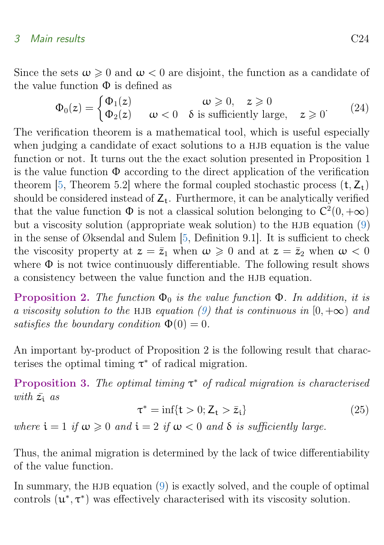<span id="page-9-0"></span>Since the sets  $\omega \geq 0$  and  $\omega < 0$  are disjoint, the function as a candidate of the value function  $\Phi$  is defined as

$$
\Phi_0(z) = \begin{cases} \Phi_1(z) & \text{if } \omega \geq 0, \quad z \geq 0 \\ \Phi_2(z) & \text{if } \omega < 0 \quad \text{is sufficiently large,} \quad z \geq 0 \end{cases} \tag{24}
$$

The verification theorem is a mathematical tool, which is useful especially when judging a candidate of exact solutions to a HJB equation is the value function or not. It turns out the the exact solution presented in Proposition 1 is the value function  $\Phi$  according to the direct application of the verification theorem [\[5,](#page-13-2) Theorem 5.2] where the formal coupled stochastic process  $(t, Z_t)$ should be considered instead of  $Z_t$ . Furthermore, it can be analytically verified that the value function  $\Phi$  is not a classical solution belonging to  $C^2(0, +\infty)$ but a viscosity solution (appropriate weak solution) to the HJB equation  $(9)$ in the sense of Øksendal and Sulem [\[5,](#page-13-2) Definition 9.1]. It is sufficient to check the viscosity property at  $z = \bar{z}_1$  when  $\omega \geq 0$  and at  $z = \bar{z}_2$  when  $\omega < 0$ where  $\Phi$  is not twice continuously differentiable. The following result shows a consistency between the value function and the HJB equation.

**Proposition 2.** The function  $\Phi_0$  is the value function  $\Phi$ . In addition, it is a viscosity solution to the HJB equation [\(9\)](#page-6-3) that is continuous in  $[0, +\infty)$  and satisfies the boundary condition  $\Phi(0) = 0$ .

An important by-product of Proposition 2 is the following result that characterises the optimal timing  $\tau^*$  of radical migration.

Proposition 3. The optimal timing  $\tau^*$  of radical migration is characterised with  $\bar{z_i}$  as

$$
\tau^* = \inf\{t > 0; Z_t > \bar{z}_t\} \tag{25}
$$

where  $i = 1$  if  $\omega \geq 0$  and  $i = 2$  if  $\omega < 0$  and  $\delta$  is sufficiently large.

Thus, the animal migration is determined by the lack of twice differentiability of the value function.

In summary, the HJB equation  $(9)$  is exactly solved, and the couple of optimal controls  $(\mathbf{u}^*, \tau^*)$  was effectively characterised with its viscosity solution.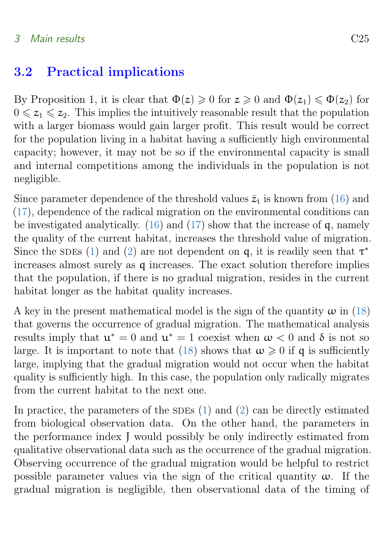## <span id="page-10-0"></span>3.2 Practical implications

By Proposition 1, it is clear that  $\Phi(z) \geq 0$  for  $z \geq 0$  and  $\Phi(z_1) \leq \Phi(z_2)$  for  $0 \leq z_1 \leq z_2$ . This implies the intuitively reasonable result that the population with a larger biomass would gain larger profit. This result would be correct for the population living in a habitat having a sufficiently high environmental capacity; however, it may not be so if the environmental capacity is small and internal competitions among the individuals in the population is not negligible.

Since parameter dependence of the threshold values  $\bar{z}_i$  is known from [\(16\)](#page-6-2) and [\(17\)](#page-6-2), dependence of the radical migration on the environmental conditions can be investigated analytically.  $(16)$  and  $(17)$  show that the increase of q, namely the quality of the current habitat, increases the threshold value of migration. Since the SDEs [\(1\)](#page-3-2) and [\(2\)](#page-4-2) are not dependent on q, it is readily seen that  $\tau^*$ increases almost surely as q increases. The exact solution therefore implies that the population, if there is no gradual migration, resides in the current habitat longer as the habitat quality increases.

A key in the present mathematical model is the sign of the quantity  $\omega$  in [\(18\)](#page-7-0) that governs the occurrence of gradual migration. The mathematical analysis results imply that  $u^* = 0$  and  $u^* = 1$  coexist when  $\omega < 0$  and  $\delta$  is not so large. It is important to note that [\(18\)](#page-7-0) shows that  $\omega \geq 0$  if q is sufficiently large, implying that the gradual migration would not occur when the habitat quality is sufficiently high. In this case, the population only radically migrates from the current habitat to the next one.

In practice, the parameters of the SDEs  $(1)$  and  $(2)$  can be directly estimated from biological observation data. On the other hand, the parameters in the performance index J would possibly be only indirectly estimated from qualitative observational data such as the occurrence of the gradual migration. Observing occurrence of the gradual migration would be helpful to restrict possible parameter values via the sign of the critical quantity  $\omega$ . If the gradual migration is negligible, then observational data of the timing of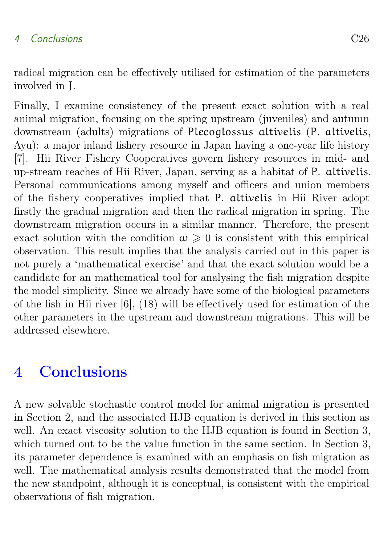### 4 Conclusions C26

radical migration can be effectively utilised for estimation of the parameters involved in J.

Finally, I examine consistency of the present exact solution with a real animal migration, focusing on the spring upstream (juveniles) and autumn downstream (adults) migrations of Plecoglossus altivelis (P. altivelis, Ayu): a major inland fishery resource in Japan having a one-year life history [7]. Hii River Fishery Cooperatives govern fishery resources in mid- and up-stream reaches of Hii River, Japan, serving as a habitat of P. altivelis. Personal communications among myself and officers and union members of the fishery cooperatives implied that P. altivelis in Hii River adopt firstly the gradual migration and then the radical migration in spring. The downstream migration occurs in a similar manner. Therefore, the present exact solution with the condition  $\omega \geq 0$  is consistent with this empirical observation. This result implies that the analysis carried out in this paper is not purely a 'mathematical exercise' and that the exact solution would be a candidate for an mathematical tool for analysing the fish migration despite the model simplicity. Since we already have some of the biological parameters of the fish in Hii river [6], (18) will be effectively used for estimation of the other parameters in the upstream and downstream migrations. This will be addressed elsewhere.

## <span id="page-11-0"></span>4 Conclusions

A new solvable stochastic control model for animal migration is presented in Section 2, and the associated HJB equation is derived in this section as well. An exact viscosity solution to the HJB equation is found in Section 3, which turned out to be the value function in the same section. In Section 3, its parameter dependence is examined with an emphasis on fish migration as well. The mathematical analysis results demonstrated that the model from the new standpoint, although it is conceptual, is consistent with the empirical observations of fish migration.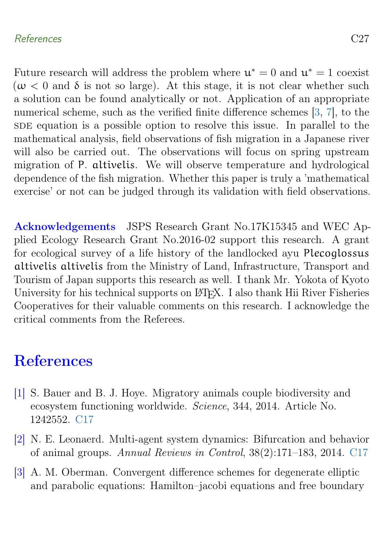### <span id="page-12-4"></span>References C27

Future research will address the problem where  $\mathfrak{u}^* = 0$  and  $\mathfrak{u}^* = 1$  coexist ( $\omega$  < 0 and  $\delta$  is not so large). At this stage, it is not clear whether such a solution can be found analytically or not. Application of an appropriate numerical scheme, such as the verified finite difference schemes [\[3,](#page-12-3) [7\]](#page-13-4), to the SDE equation is a possible option to resolve this issue. In parallel to the mathematical analysis, field observations of fish migration in a Japanese river will also be carried out. The observations will focus on spring upstream migration of P. altivelis. We will observe temperature and hydrological dependence of the fish migration. Whether this paper is truly a 'mathematical exercise' or not can be judged through its validation with field observations.

Acknowledgements JSPS Research Grant No.17K15345 and WEC Applied Ecology Research Grant No.2016-02 support this research. A grant for ecological survey of a life history of the landlocked ayu Plecoglossus altivelis altivelis from the Ministry of Land, Infrastructure, Transport and Tourism of Japan supports this research as well. I thank Mr. Yokota of Kyoto University for his technical supports on LATEX. I also thank Hii River Fisheries Cooperatives for their valuable comments on this research. I acknowledge the critical comments from the Referees.

## <span id="page-12-0"></span>References

- <span id="page-12-1"></span>[1] S. Bauer and B. J. Hoye. Migratory animals couple biodiversity and ecosystem functioning worldwide. Science, 344, 2014. Article No. 1242552. [C17](#page-2-0)
- <span id="page-12-2"></span>[2] N. E. Leonaerd. Multi-agent system dynamics: Bifurcation and behavior of animal groups. Annual Reviews in Control, 38(2):171–183, 2014. [C17](#page-2-0)
- <span id="page-12-3"></span>[3] A. M. Oberman. Convergent difference schemes for degenerate elliptic and parabolic equations: Hamilton–jacobi equations and free boundary